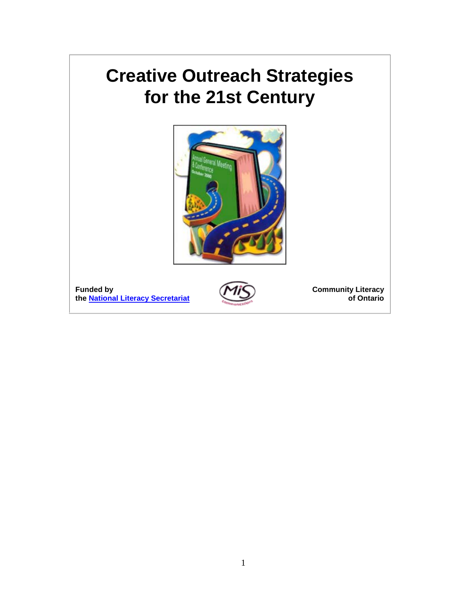# **Creative Outreach Strategies for the 21st Century**



| <b>Funded by</b> |                                   |
|------------------|-----------------------------------|
|                  | the National Literacy Secretariat |



**Community Literacy of Ontario**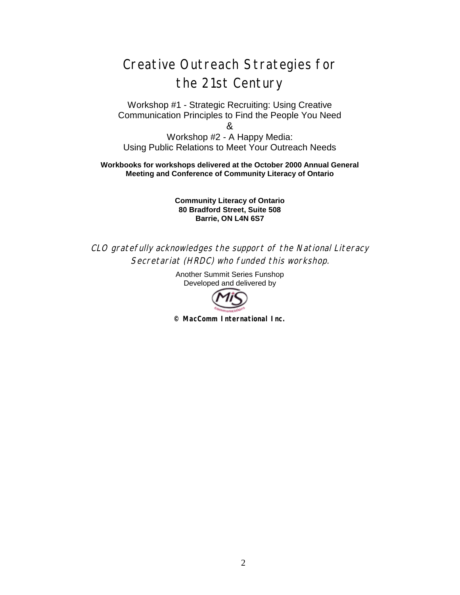## Creative Outreach Strategies for the 21st Century

Workshop #1 - Strategic Recruiting: Using Creative Communication Principles to Find the People You Need &

Workshop #2 - A Happy Media: Using Public Relations to Meet Your Outreach Needs

**Workbooks for workshops delivered at the October 2000 Annual General Meeting and Conference of Community Literacy of Ontario**

> **Community Literacy of Ontario 80 Bradford Street, Suite 508 Barrie, ON L4N 6S7**

CLO gratefully acknowledges the support of the National Literacy Secretariat (HRDC) who funded this workshop.

> Another Summit Series Funshop Developed and delivered by



**© MacComm International Inc.**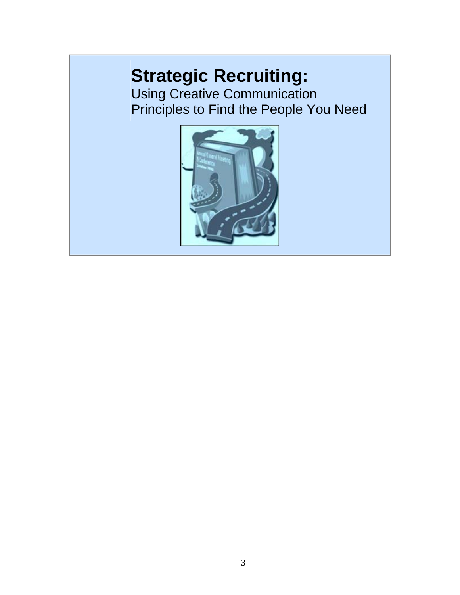# **Strategic Recruiting:**

Using Creative Communication Principles to Find the People You Need

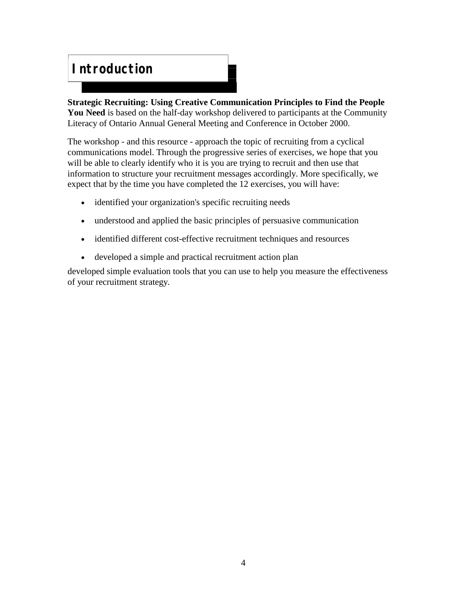#### **Introduction**

**Strategic Recruiting: Using Creative Communication Principles to Find the People You Need** is based on the half-day workshop delivered to participants at the Community Literacy of Ontario Annual General Meeting and Conference in October 2000.

The workshop - and this resource - approach the topic of recruiting from a cyclical communications model. Through the progressive series of exercises, we hope that you will be able to clearly identify who it is you are trying to recruit and then use that information to structure your recruitment messages accordingly. More specifically, we expect that by the time you have completed the 12 exercises, you will have:

- identified your organization's specific recruiting needs
- understood and applied the basic principles of persuasive communication
- identified different cost-effective recruitment techniques and resources
- developed a simple and practical recruitment action plan

developed simple evaluation tools that you can use to help you measure the effectiveness of your recruitment strategy.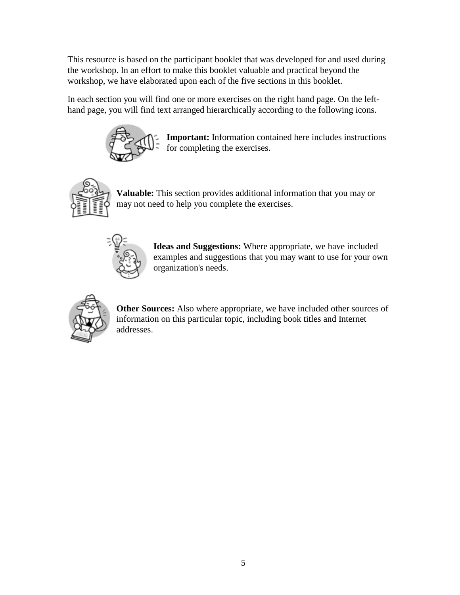This resource is based on the participant booklet that was developed for and used during the workshop. In an effort to make this booklet valuable and practical beyond the workshop, we have elaborated upon each of the five sections in this booklet.

In each section you will find one or more exercises on the right hand page. On the lefthand page, you will find text arranged hierarchically according to the following icons.



**Important:** Information contained here includes instructions for completing the exercises.



**Valuable:** This section provides additional information that you may or may not need to help you complete the exercises.



**Ideas and Suggestions:** Where appropriate, we have included examples and suggestions that you may want to use for your own organization's needs.



**Other Sources:** Also where appropriate, we have included other sources of information on this particular topic, including book titles and Internet addresses.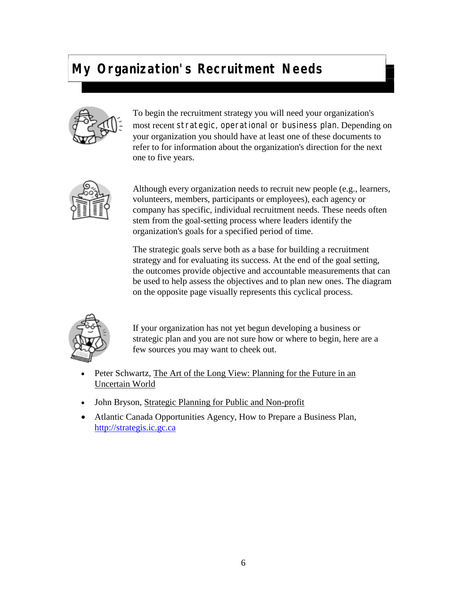## **My Organization's Recruitment Needs**



To begin the recruitment strategy you will need your organization's most recent strategic, operational or business plan. Depending on your organization you should have at least one of these documents to refer to for information about the organization's direction for the next one to five years.



Although every organization needs to recruit new people (e.g., learners, volunteers, members, participants or employees), each agency or company has specific, individual recruitment needs. These needs often stem from the goal-setting process where leaders identify the organization's goals for a specified period of time.

The strategic goals serve both as a base for building a recruitment strategy and for evaluating its success. At the end of the goal setting, the outcomes provide objective and accountable measurements that can be used to help assess the objectives and to plan new ones. The diagram on the opposite page visually represents this cyclical process.



If your organization has not yet begun developing a business or strategic plan and you are not sure how or where to begin, here are a few sources you may want to cheek out.

- Peter Schwartz, The Art of the Long View: Planning for the Future in an Uncertain World
- John Bryson, Strategic Planning for Public and Non-profit
- Atlantic Canada Opportunities Agency, How to Prepare a Business Plan, <http://strategis.ic.gc.ca>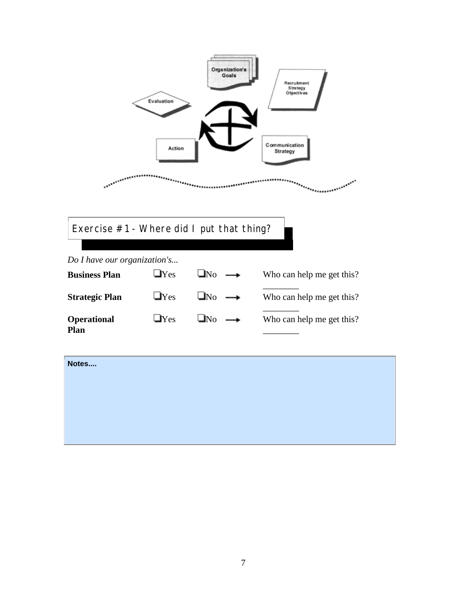<span id="page-6-0"></span>

Exercise #1 - Where did I put that thing?

*Do I have our organization's...* **Business Plan**  $\Box$  Yes  $\Box$  No  $\rightarrow$  Who can help me get this? \_\_\_\_\_\_\_\_ **Strategic Plan**  $\Box$  Yes  $\Box$  No  $\rightarrow$  Who can help me get this? \_\_\_\_\_\_\_\_ **Operational Plan**  $\Box$ Yes  $\Box$ No  $\longrightarrow$  Who can help me get this? \_\_\_\_\_\_\_\_

| Notes |  |
|-------|--|
|       |  |
|       |  |
|       |  |
|       |  |
|       |  |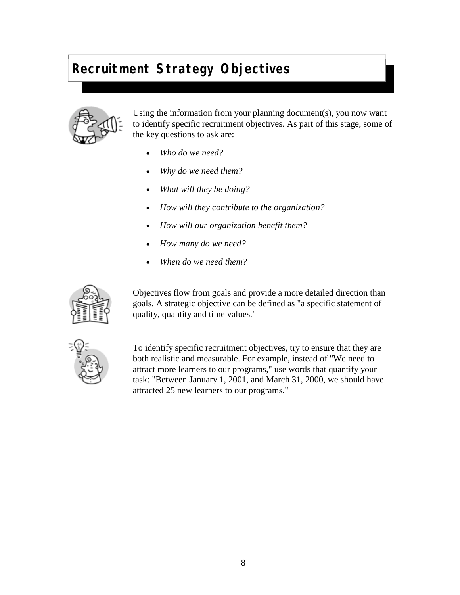# **Recruitment Strategy Objectives**



Using the information from your planning document(s), you now want to identify specific recruitment objectives. As part of this stage, some of the key questions to ask are:

- *Who do we need?*
- *Why do we need them?*
- *What will they be doing?*
- *How will they contribute to the organization?*
- *How will our organization benefit them?*
- *How many do we need?*
- *When do we need them?*



Objectives flow from goals and provide a more detailed direction than goals. A strategic objective can be defined as "a specific statement of quality, quantity and time values."



To identify specific recruitment objectives, try to ensure that they are both realistic and measurable. For example, instead of "We need to attract more learners to our programs," use words that quantify your task: "Between January 1, 2001, and March 31, 2000, we should have attracted 25 new learners to our programs."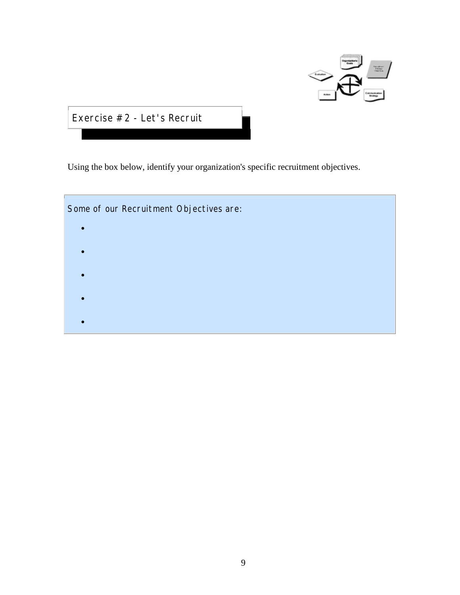

Exercise #2 - Let's Recruit

Using the box below, identify your organization's specific recruitment objectives.

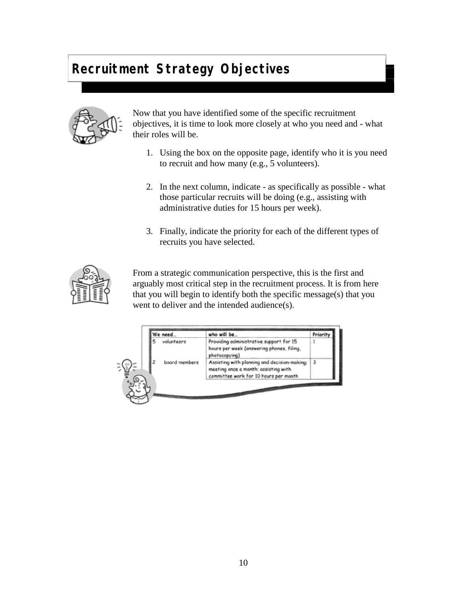# **Recruitment Strategy Objectives**



Now that you have identified some of the specific recruitment objectives, it is time to look more closely at who you need and - what their roles will be.

- 1. Using the box on the opposite page, identify who it is you need to recruit and how many (e.g., 5 volunteers).
- 2. In the next column, indicate as specifically as possible what those particular recruits will be doing (e.g., assisting with administrative duties for 15 hours per week).
- 3. Finally, indicate the priority for each of the different types of recruits you have selected.



From a strategic communication perspective, this is the first and arguably most critical step in the recruitment process. It is from here that you will begin to identify both the specific message(s) that you went to deliver and the intended audience(s).

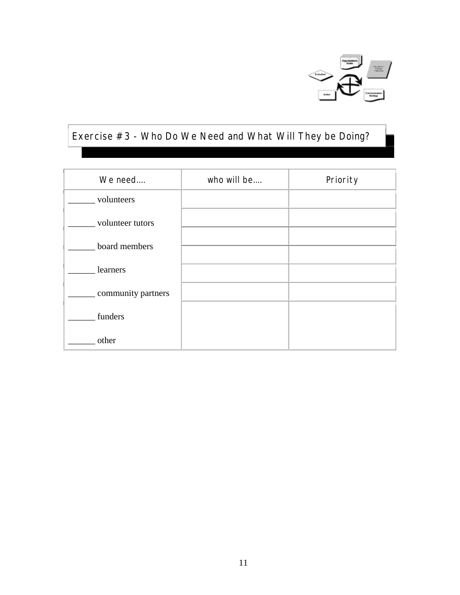

# Exercise #3 - Who Do We Need and What Will They be Doing?

| We need            | who will be | Priority |
|--------------------|-------------|----------|
| volunteers         |             |          |
| volunteer tutors   |             |          |
| board members      |             |          |
| learners           |             |          |
| community partners |             |          |
|                    |             |          |
| funders            |             |          |
| other              |             |          |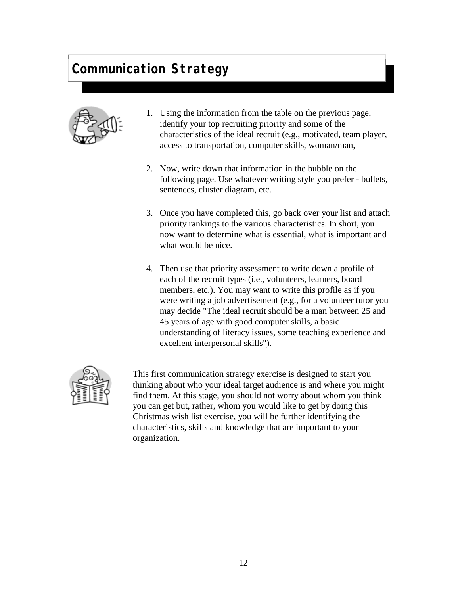

- 1. Using the information from the table on the previous page, identify your top recruiting priority and some of the characteristics of the ideal recruit (e.g., motivated, team player, access to transportation, computer skills, woman/man,
- 2. Now, write down that information in the bubble on the following page. Use whatever writing style you prefer - bullets, sentences, cluster diagram, etc.
- 3. Once you have completed this, go back over your list and attach priority rankings to the various characteristics. In short, you now want to determine what is essential, what is important and what would be nice.
- 4. Then use that priority assessment to write down a profile of each of the recruit types (i.e., volunteers, learners, board members, etc.). You may want to write this profile as if you were writing a job advertisement (e.g., for a volunteer tutor you may decide "The ideal recruit should be a man between 25 and 45 years of age with good computer skills, a basic understanding of literacy issues, some teaching experience and excellent interpersonal skills").



This first communication strategy exercise is designed to start you thinking about who your ideal target audience is and where you might find them. At this stage, you should not worry about whom you think you can get but, rather, whom you would like to get by doing this Christmas wish list exercise, you will be further identifying the characteristics, skills and knowledge that are important to your organization.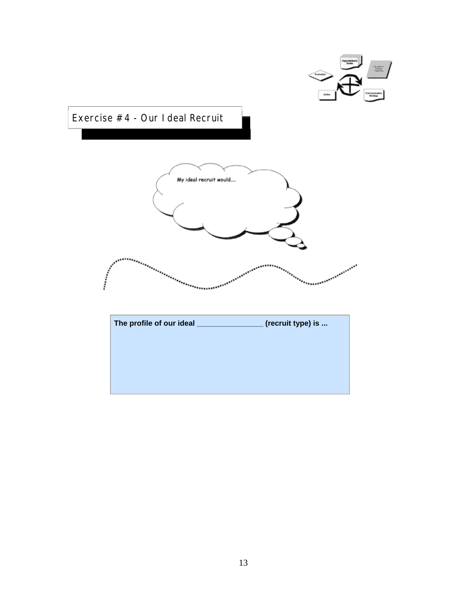

Exercise #4 - Our Ideal Recruit



| The profile of our ideal | (recruit type) is |
|--------------------------|-------------------|
|                          |                   |
|                          |                   |
|                          |                   |
|                          |                   |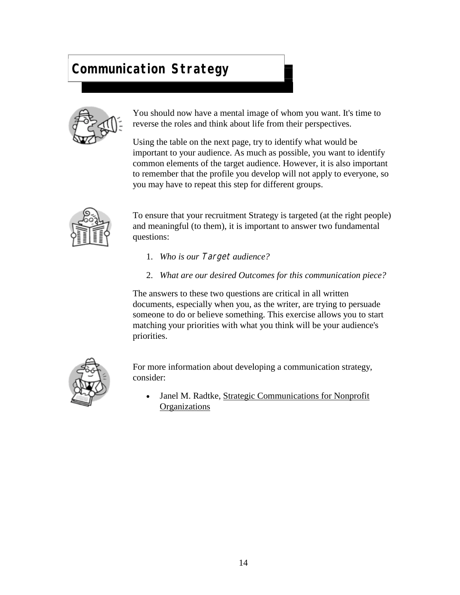

You should now have a mental image of whom you want. It's time to reverse the roles and think about life from their perspectives.

Using the table on the next page, try to identify what would be important to your audience. As much as possible, you want to identify common elements of the target audience. However, it is also important to remember that the profile you develop will not apply to everyone, so you may have to repeat this step for different groups.



To ensure that your recruitment Strategy is targeted (at the right people) and meaningful (to them), it is important to answer two fundamental questions:

- 1. *Who is our* Target *audience?*
- 2. *What are our desired Outcomes for this communication piece?*

The answers to these two questions are critical in all written documents, especially when you, as the writer, are trying to persuade someone to do or believe something. This exercise allows you to start matching your priorities with what you think will be your audience's priorities.



For more information about developing a communication strategy, consider:

 Janel M. Radtke, Strategic Communications for Nonprofit **Organizations**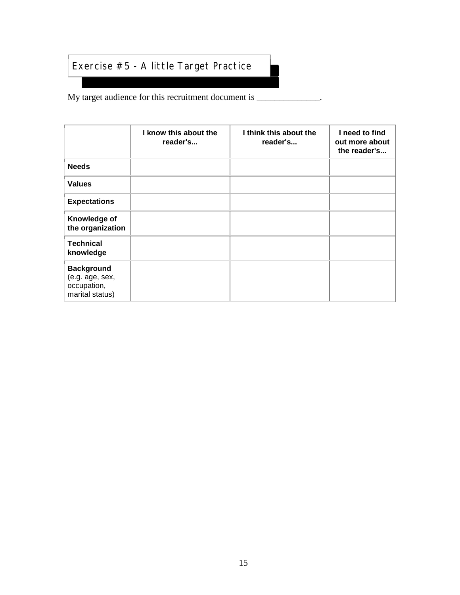#### <span id="page-14-0"></span>Exercise #5 - A little Target Practice

My target audience for this recruitment document is \_\_\_\_\_\_\_\_\_\_\_\_\_.

|                                                                        | I know this about the<br>reader's | I think this about the<br>reader's | I need to find<br>out more about<br>the reader's |
|------------------------------------------------------------------------|-----------------------------------|------------------------------------|--------------------------------------------------|
| <b>Needs</b>                                                           |                                   |                                    |                                                  |
| <b>Values</b>                                                          |                                   |                                    |                                                  |
| <b>Expectations</b>                                                    |                                   |                                    |                                                  |
| Knowledge of<br>the organization                                       |                                   |                                    |                                                  |
| <b>Technical</b><br>knowledge                                          |                                   |                                    |                                                  |
| <b>Background</b><br>(e.g. age, sex,<br>occupation,<br>marital status) |                                   |                                    |                                                  |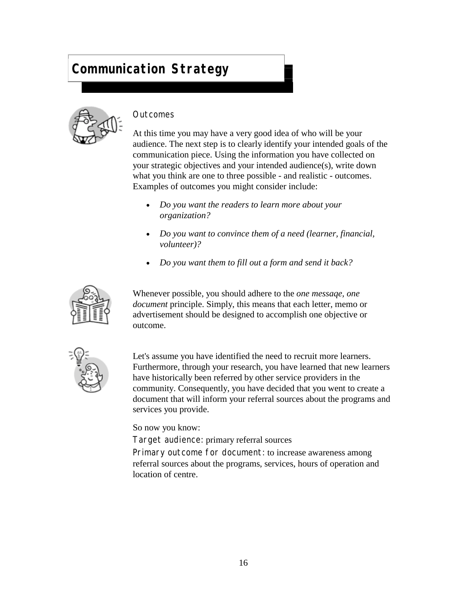

#### **Outcomes**

At this time you may have a very good idea of who will be your audience. The next step is to clearly identify your intended goals of the communication piece. Using the information you have collected on your strategic objectives and your intended audience(s), write down what you think are one to three possible - and realistic - outcomes. Examples of outcomes you might consider include:

- *Do you want the readers to learn more about your organization?*
- *Do you want to convince them of a need (learner, financial, volunteer)?*
- *Do you want them to fill out a form and send it back?*



Whenever possible, you should adhere to the *one messaqe, one document* principle. Simply, this means that each letter, memo or advertisement should be designed to accomplish one objective or outcome.



Let's assume you have identified the need to recruit more learners. Furthermore, through your research, you have learned that new learners have historically been referred by other service providers in the community. Consequently, you have decided that you went to create a document that will inform your referral sources about the programs and services you provide.

So now you know:

Target audience: primary referral sources

Primary outcome for document: to increase awareness among referral sources about the programs, services, hours of operation and location of centre.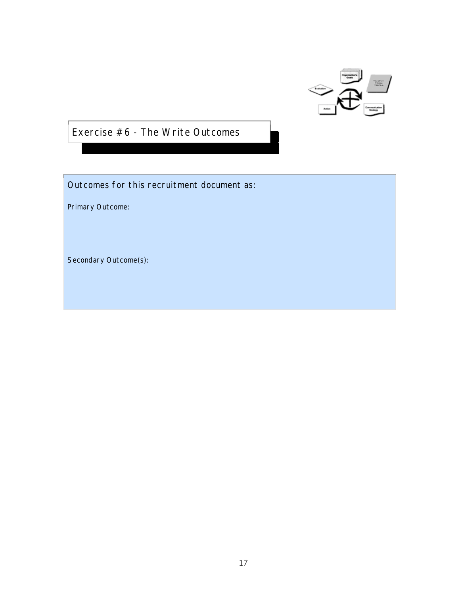

<span id="page-16-0"></span>Exercise #6 - The Write Outcomes

Outcomes for this recruitment document as:

Primary Outcome:

Secondary Outcome(s):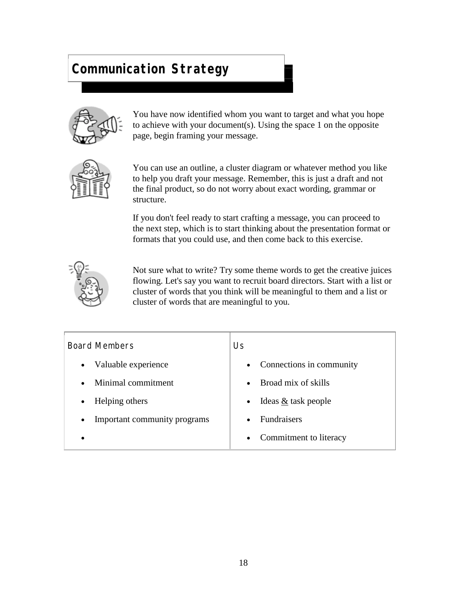

You have now identified whom you want to target and what you hope to achieve with your document(s). Using the space 1 on the opposite page, begin framing your message.



You can use an outline, a cluster diagram or whatever method you like to help you draft your message. Remember, this is just a draft and not the final product, so do not worry about exact wording, grammar or structure.

If you don't feel ready to start crafting a message, you can proceed to the next step, which is to start thinking about the presentation format or formats that you could use, and then come back to this exercise.



Not sure what to write? Try some theme words to get the creative juices flowing. Let's say you want to recruit board directors. Start with a list or cluster of words that you think will be meaningful to them and a list or cluster of words that are meaningful to you.

| <b>Board Members</b>         | Us                                  |  |
|------------------------------|-------------------------------------|--|
| Valuable experience          | Connections in community            |  |
| $\bullet$                    | $\bullet$                           |  |
| Minimal commitment           | Broad mix of skills                 |  |
| $\bullet$                    | $\bullet$                           |  |
| Helping others               | Ideas & task people                 |  |
| $\bullet$                    | $\bullet$                           |  |
| Important community programs | <b>Fundraisers</b>                  |  |
| $\bullet$                    | $\bullet$                           |  |
|                              | Commitment to literacy<br>$\bullet$ |  |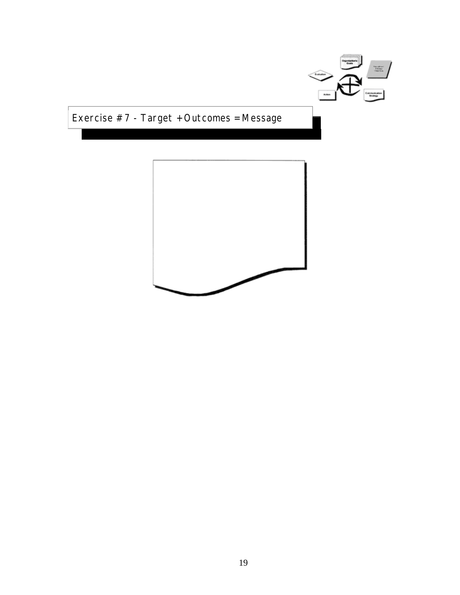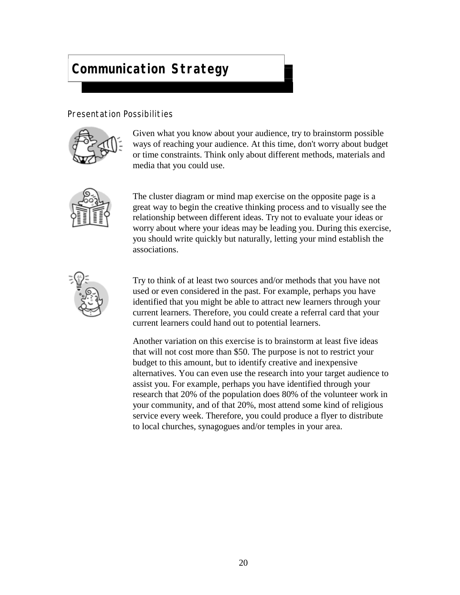#### Presentation Possibilities



Given what you know about your audience, try to brainstorm possible ways of reaching your audience. At this time, don't worry about budget or time constraints. Think only about different methods, materials and media that you could use.



The cluster diagram or mind map exercise on the opposite page is a great way to begin the creative thinking process and to visually see the relationship between different ideas. Try not to evaluate your ideas or worry about where your ideas may be leading you. During this exercise, you should write quickly but naturally, letting your mind establish the associations.



Try to think of at least two sources and/or methods that you have not used or even considered in the past. For example, perhaps you have identified that you might be able to attract new learners through your current learners. Therefore, you could create a referral card that your current learners could hand out to potential learners.

Another variation on this exercise is to brainstorm at least five ideas that will not cost more than \$50. The purpose is not to restrict your budget to this amount, but to identify creative and inexpensive alternatives. You can even use the research into your target audience to assist you. For example, perhaps you have identified through your research that 20% of the population does 80% of the volunteer work in your community, and of that 20%, most attend some kind of religious service every week. Therefore, you could produce a flyer to distribute to local churches, synagogues and/or temples in your area.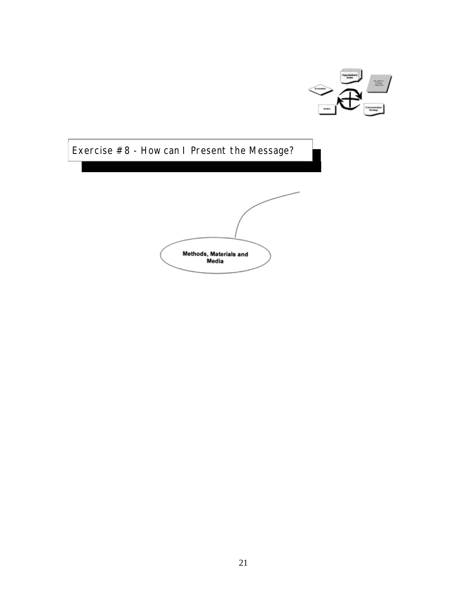

<span id="page-20-0"></span>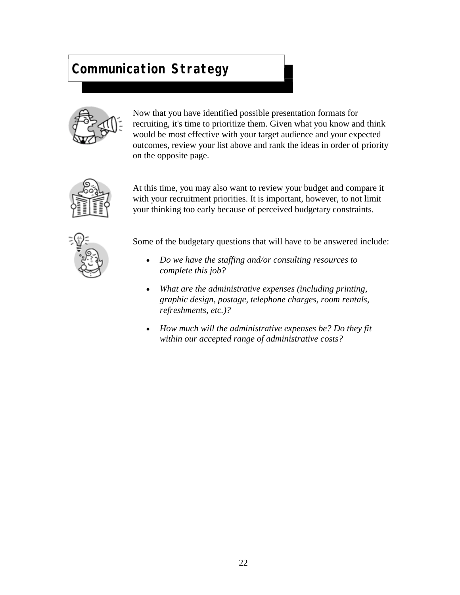

Now that you have identified possible presentation formats for recruiting, it's time to prioritize them. Given what you know and think would be most effective with your target audience and your expected outcomes, review your list above and rank the ideas in order of priority on the opposite page.



At this time, you may also want to review your budget and compare it with your recruitment priorities. It is important, however, to not limit your thinking too early because of perceived budgetary constraints.



Some of the budgetary questions that will have to be answered include:

- *Do we have the staffing and/or consulting resources to complete this job?*
- *What are the administrative expenses (including printing, graphic design, postage, telephone charges, room rentals, refreshments, etc.)?*
- *How much will the administrative expenses be? Do they fit within our accepted range of administrative costs?*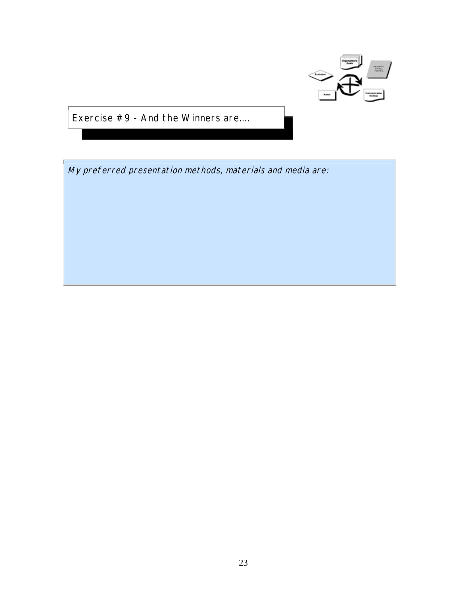

<span id="page-22-0"></span>Exercise #9 - And the Winners are....

My preferred presentation methods, materials and media are: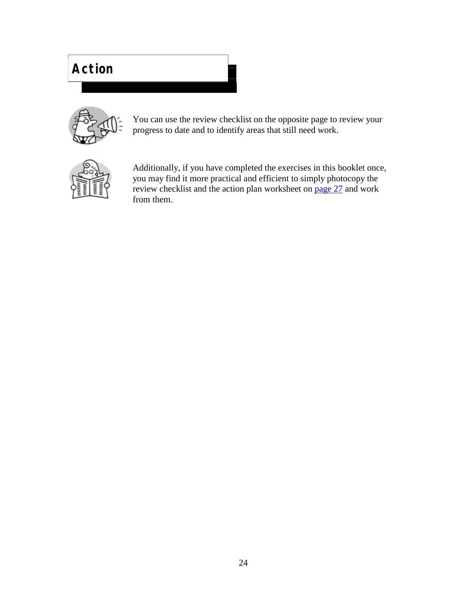# **Action**



You can use the review checklist on the opposite page to review your progress to date and to identify areas that still need work.



Additionally, if you have completed the exercises in this booklet once, you may find it more practical and efficient to simply photocopy the review checklist and the action plan worksheet on [page 27](#page-26-0) and work from them.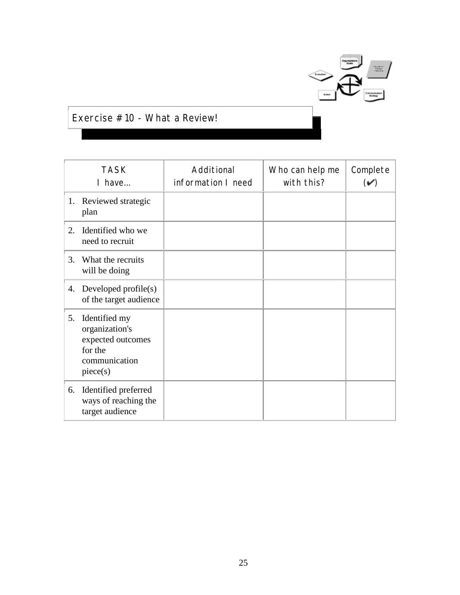

#### Exercise #10 - What a Review!

|    | <b>TASK</b><br>I have                                                                        | Additional<br>information I need | Who can help me<br>with this? | Complete<br>$(\checkmark)$ |
|----|----------------------------------------------------------------------------------------------|----------------------------------|-------------------------------|----------------------------|
|    | 1. Reviewed strategic<br>plan                                                                |                                  |                               |                            |
| 2. | Identified who we<br>need to recruit                                                         |                                  |                               |                            |
| 3. | What the recruits<br>will be doing                                                           |                                  |                               |                            |
|    | 4. Developed profile(s)<br>of the target audience                                            |                                  |                               |                            |
| 5. | Identified my<br>organization's<br>expected outcomes<br>for the<br>communication<br>piece(s) |                                  |                               |                            |
| 6. | Identified preferred<br>ways of reaching the<br>target audience                              |                                  |                               |                            |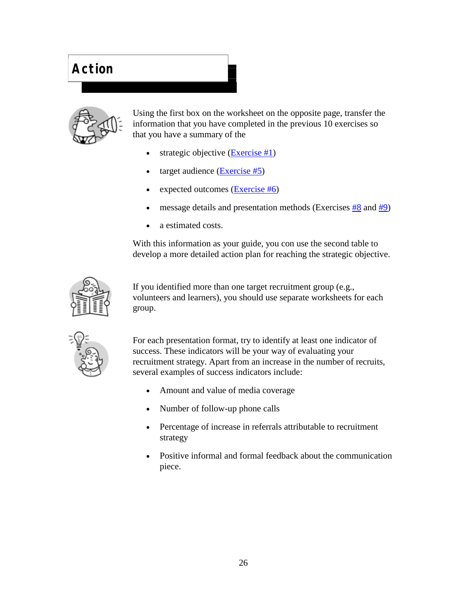# **Action**



Using the first box on the worksheet on the opposite page, transfer the information that you have completed in the previous 10 exercises so that you have a summary of the

- strategic objective [\(Exercise #1\)](#page-6-0)
- target audience [\(Exercise #5\)](#page-14-0)
- expected outcomes  $(E \times E)$
- message details and presentation methods (Exercise[s #8 a](#page-20-0)n[d #9\)](#page-22-0)
- a estimated costs.

With this information as your guide, you con use the second table to develop a more detailed action plan for reaching the strategic objective.



If you identified more than one target recruitment group (e.g., volunteers and learners), you should use separate worksheets for each group.



For each presentation format, try to identify at least one indicator of success. These indicators will be your way of evaluating your recruitment strategy. Apart from an increase in the number of recruits, several examples of success indicators include:

- Amount and value of media coverage
- Number of follow-up phone calls
- Percentage of increase in referrals attributable to recruitment strategy
- Positive informal and formal feedback about the communication piece.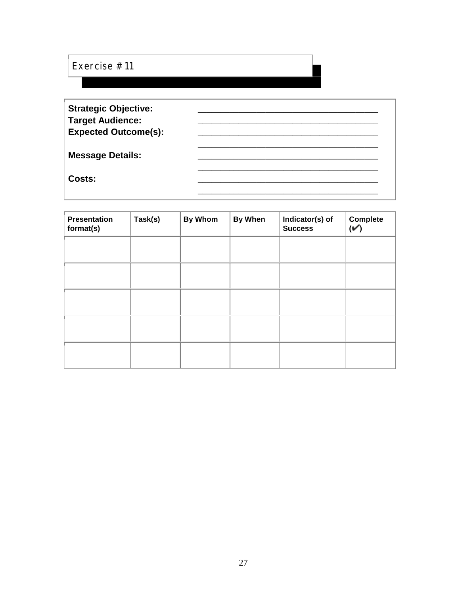#### <span id="page-26-0"></span>Exercise #11

| <b>Strategic Objective:</b><br><b>Target Audience:</b> |  |
|--------------------------------------------------------|--|
| <b>Expected Outcome(s):</b>                            |  |
| <b>Message Details:</b>                                |  |
| Costs:                                                 |  |

| Presentation<br>format(s) | Task(s) | <b>By Whom</b> | <b>By When</b> | Indicator(s) of<br><b>Success</b> | <b>Complete</b><br>$(\check{v})$ |
|---------------------------|---------|----------------|----------------|-----------------------------------|----------------------------------|
|                           |         |                |                |                                   |                                  |
|                           |         |                |                |                                   |                                  |
|                           |         |                |                |                                   |                                  |
|                           |         |                |                |                                   |                                  |
|                           |         |                |                |                                   |                                  |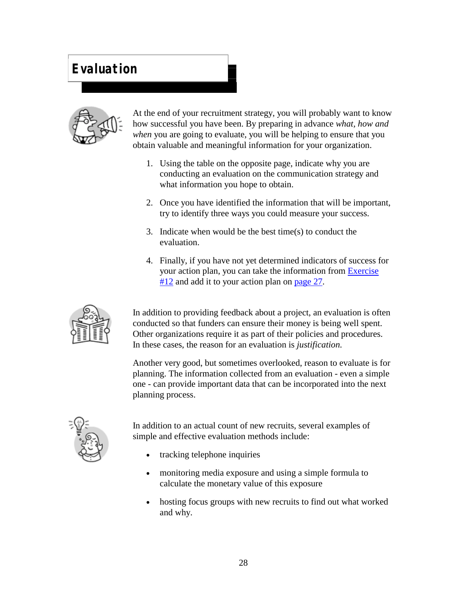### **Evaluation**



At the end of your recruitment strategy, you will probably want to know how successful you have been. By preparing in advance *what, how and when* you are going to evaluate, you will be helping to ensure that you obtain valuable and meaningful information for your organization.

- 1. Using the table on the opposite page, indicate why you are conducting an evaluation on the communication strategy and what information you hope to obtain.
- 2. Once you have identified the information that will be important, try to identify three ways you could measure your success.
- 3. Indicate when would be the best time(s) to conduct the evaluation.
- 4. Finally, if you have not yet determined indicators of success for your action plan, you can take the information from [Exercise](#page-28-0)  #12 and add it to your action plan on page 27.



In addition to providing feedback about a project, an evaluation is often conducted so that funders can ensure their money is being well spent. Other organizations require it as part of their policies and procedures. In these cases, the reason for an evaluation is *justification.*

Another very good, but sometimes overlooked, reason to evaluate is for planning. The information collected from an evaluation - even a simple one - can provide important data that can be incorporated into the next planning process.



In addition to an actual count of new recruits, several examples of simple and effective evaluation methods include:

- tracking telephone inquiries
- monitoring media exposure and using a simple formula to calculate the monetary value of this exposure
- hosting focus groups with new recruits to find out what worked and why.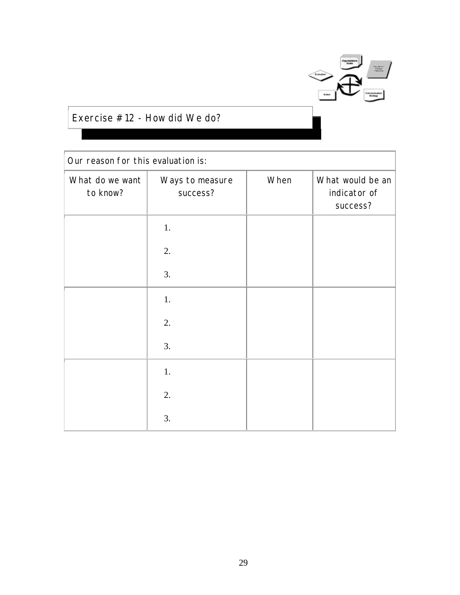

#### <span id="page-28-0"></span>Exercise #12 - How did We do?

| Our reason for this evaluation is: |                             |      |                                              |  |
|------------------------------------|-----------------------------|------|----------------------------------------------|--|
| What do we want<br>to know?        | Ways to measure<br>success? | When | What would be an<br>indicator of<br>success? |  |
|                                    | 1.                          |      |                                              |  |
|                                    | 2.                          |      |                                              |  |
|                                    | 3.                          |      |                                              |  |
|                                    | 1.                          |      |                                              |  |
|                                    | 2.                          |      |                                              |  |
|                                    | 3.                          |      |                                              |  |
|                                    | 1.                          |      |                                              |  |
|                                    | 2.                          |      |                                              |  |
|                                    | 3.                          |      |                                              |  |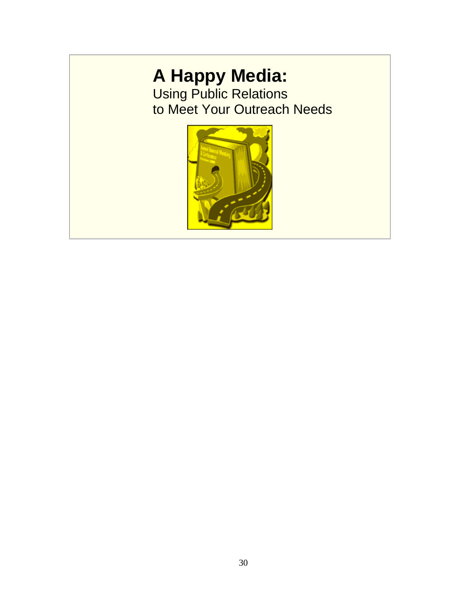# **A Happy Media:**

Using Public Relations to Meet Your Outreach Needs

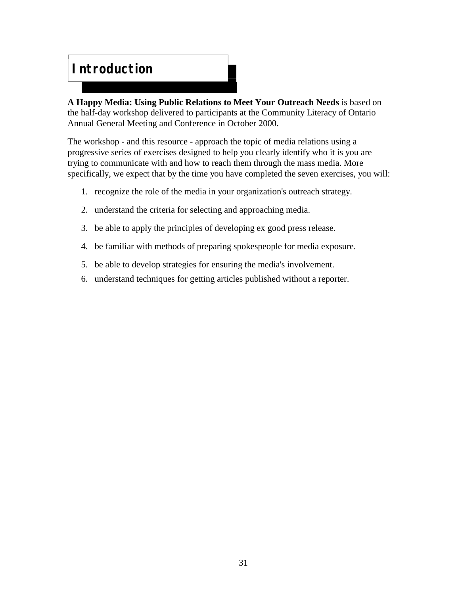#### **Introduction**

**A Happy Media: Using Public Relations to Meet Your Outreach Needs** is based on the half-day workshop delivered to participants at the Community Literacy of Ontario Annual General Meeting and Conference in October 2000.

The workshop - and this resource - approach the topic of media relations using a progressive series of exercises designed to help you clearly identify who it is you are trying to communicate with and how to reach them through the mass media. More specifically, we expect that by the time you have completed the seven exercises, you will:

- 1. recognize the role of the media in your organization's outreach strategy.
- 2. understand the criteria for selecting and approaching media.
- 3. be able to apply the principles of developing ex good press release.
- 4. be familiar with methods of preparing spokespeople for media exposure.
- 5. be able to develop strategies for ensuring the media's involvement.
- 6. understand techniques for getting articles published without a reporter.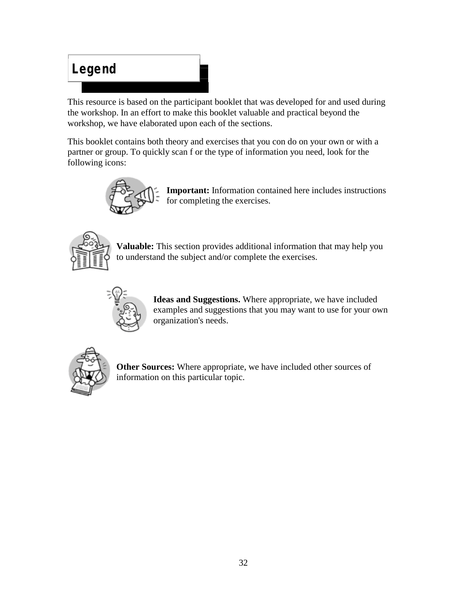# **Legend**

This resource is based on the participant booklet that was developed for and used during the workshop. In an effort to make this booklet valuable and practical beyond the workshop, we have elaborated upon each of the sections.

This booklet contains both theory and exercises that you con do on your own or with a partner or group. To quickly scan f or the type of information you need, look for the following icons:



**Important:** Information contained here includes instructions for completing the exercises.



**Valuable:** This section provides additional information that may help you to understand the subject and/or complete the exercises.



**Ideas and Suggestions.** Where appropriate, we have included examples and suggestions that you may want to use for your own organization's needs.



**Other Sources:** Where appropriate, we have included other sources of information on this particular topic.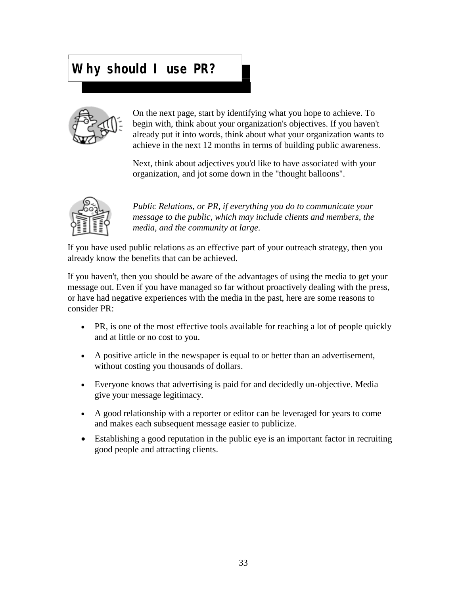#### **Why should I use PR?**



On the next page, start by identifying what you hope to achieve. To begin with, think about your organization's objectives. If you haven't already put it into words, think about what your organization wants to achieve in the next 12 months in terms of building public awareness.

Next, think about adjectives you'd like to have associated with your organization, and jot some down in the "thought balloons".



*Public Relations, or PR, if everything you do to communicate your message to the public, which may include clients and members, the media, and the community at large.*

If you have used public relations as an effective part of your outreach strategy, then you already know the benefits that can be achieved.

If you haven't, then you should be aware of the advantages of using the media to get your message out. Even if you have managed so far without proactively dealing with the press, or have had negative experiences with the media in the past, here are some reasons to consider PR:

- PR, is one of the most effective tools available for reaching a lot of people quickly and at little or no cost to you.
- A positive article in the newspaper is equal to or better than an advertisement, without costing you thousands of dollars.
- Everyone knows that advertising is paid for and decidedly un-objective. Media give your message legitimacy.
- A good relationship with a reporter or editor can be leveraged for years to come and makes each subsequent message easier to publicize.
- Establishing a good reputation in the public eye is an important factor in recruiting good people and attracting clients.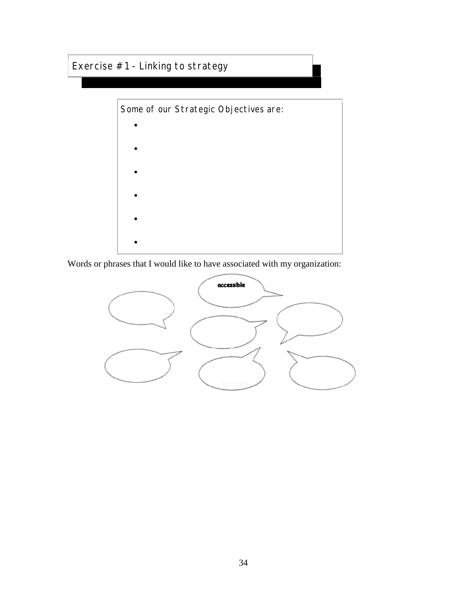#### Exercise #1 - Linking to strategy



Words or phrases that I would like to have associated with my organization:

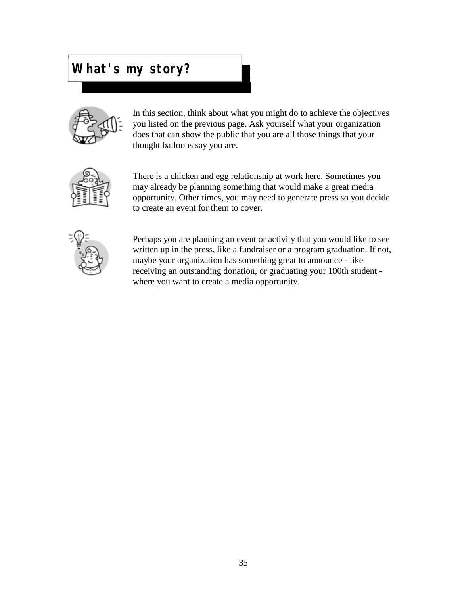#### **What's my story?**



In this section, think about what you might do to achieve the objectives you listed on the previous page. Ask yourself what your organization does that can show the public that you are all those things that your thought balloons say you are.



There is a chicken and egg relationship at work here. Sometimes you may already be planning something that would make a great media opportunity. Other times, you may need to generate press so you decide to create an event for them to cover.



Perhaps you are planning an event or activity that you would like to see written up in the press, like a fundraiser or a program graduation. If not, maybe your organization has something great to announce - like receiving an outstanding donation, or graduating your 100th student where you want to create a media opportunity.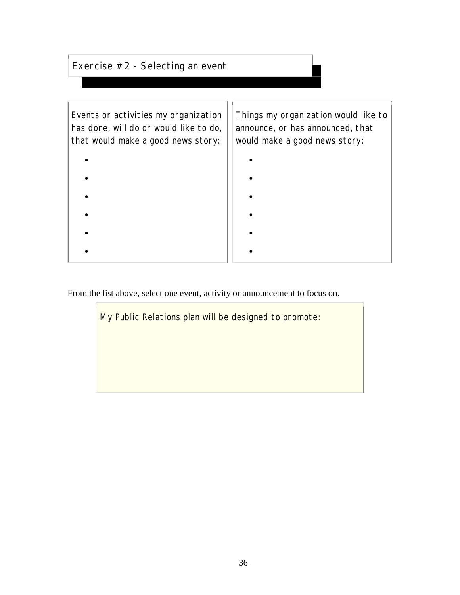#### Exercise #2 - Selecting an event

| Events or activities my organization<br>has done, will do or would like to do,<br>that would make a good news story: | Things my organization would like to<br>announce, or has announced, that<br>would make a good news story: |
|----------------------------------------------------------------------------------------------------------------------|-----------------------------------------------------------------------------------------------------------|
|                                                                                                                      |                                                                                                           |
|                                                                                                                      |                                                                                                           |
|                                                                                                                      |                                                                                                           |
|                                                                                                                      |                                                                                                           |
|                                                                                                                      |                                                                                                           |
|                                                                                                                      |                                                                                                           |

From the list above, select one event, activity or announcement to focus on.

My Public Relations plan will be designed to promote: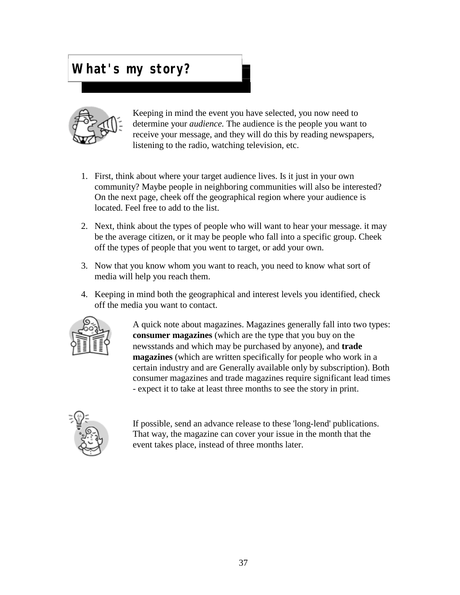### **What's my story?**



Keeping in mind the event you have selected, you now need to determine your *audience.* The audience is the people you want to receive your message, and they will do this by reading newspapers, listening to the radio, watching television, etc.

- 1. First, think about where your target audience lives. Is it just in your own community? Maybe people in neighboring communities will also be interested? On the next page, cheek off the geographical region where your audience is located. Feel free to add to the list.
- 2. Next, think about the types of people who will want to hear your message. it may be the average citizen, or it may be people who fall into a specific group. Cheek off the types of people that you went to target, or add your own.
- 3. Now that you know whom you want to reach, you need to know what sort of media will help you reach them.
- 4. Keeping in mind both the geographical and interest levels you identified, check off the media you want to contact.



A quick note about magazines. Magazines generally fall into two types: **consumer magazines** (which are the type that you buy on the newsstands and which may be purchased by anyone), and **trade magazines** (which are written specifically for people who work in a certain industry and are Generally available only by subscription). Both consumer magazines and trade magazines require significant lead times - expect it to take at least three months to see the story in print.



If possible, send an advance release to these 'long-lend' publications. That way, the magazine can cover your issue in the month that the event takes place, instead of three months later.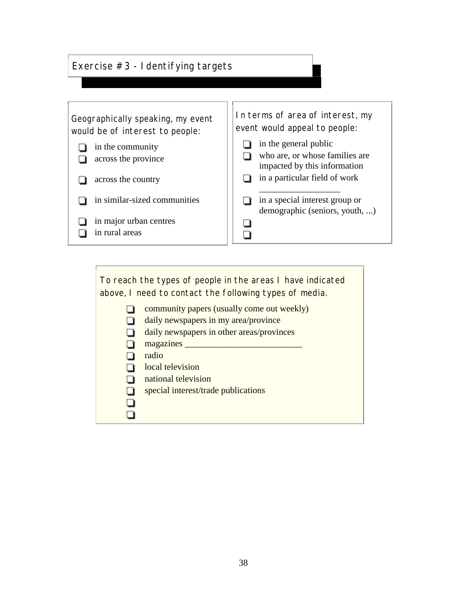#### Exercise #3 - Identifying targets



To reach the types of people in the areas I have indicated above, I need to contact the following types of media.

- **community papers (usually come out weekly)**
- daily newspapers in my area/province
- daily newspapers in other areas/provinces
- $\Box$  magazines  $\Box$
- adio
- **local television**
- national television
- special interest/trade publications
- O  $\Box$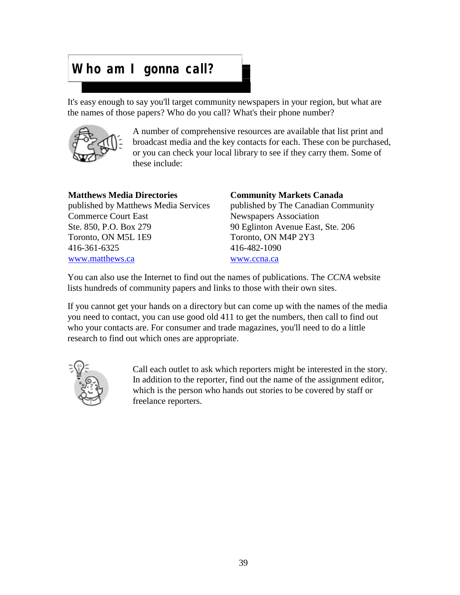### **Who am I gonna call?**

It's easy enough to say you'll target community newspapers in your region, but what are the names of those papers? Who do you call? What's their phone number?



A number of comprehensive resources are available that list print and broadcast media and the key contacts for each. These con be purchased, or you can check your local library to see if they carry them. Some of these include:

#### **Matthews Media Directories**

published by Matthews Media Services Commerce Court East Ste. 850, P.O. Box 279 Toronto, ON M5L 1E9 416-361-6325 [www.matthews.ca](http://www.matthews.ca) 

#### **Community Markets Canada**

published by The Canadian Community Newspapers Association 90 Eglinton Avenue East, Ste. 206 Toronto, ON M4P 2Y3 416-482-1090 [www.ccna.ca](http://www.ccna.ca) 

You can also use the Internet to find out the names of publications. The *CCNA* website lists hundreds of community papers and links to those with their own sites.

If you cannot get your hands on a directory but can come up with the names of the media you need to contact, you can use good old 411 to get the numbers, then call to find out who your contacts are. For consumer and trade magazines, you'll need to do a little research to find out which ones are appropriate.



Call each outlet to ask which reporters might be interested in the story. In addition to the reporter, find out the name of the assignment editor, which is the person who hands out stories to be covered by staff or freelance reporters.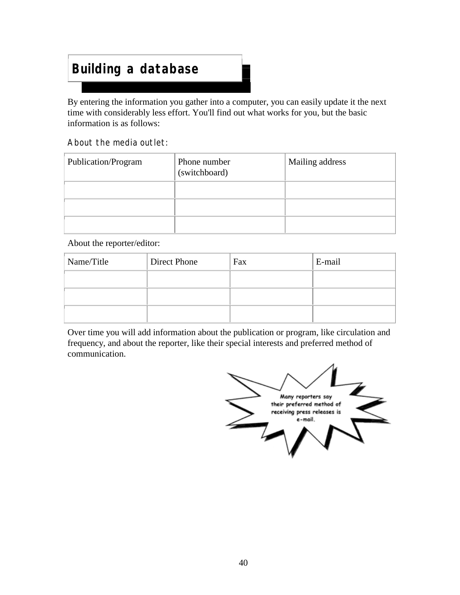### **Building a database**

By entering the information you gather into a computer, you can easily update it the next time with considerably less effort. You'll find out what works for you, but the basic information is as follows:

#### About the media outlet:

| Publication/Program | Phone number<br>(switchboard) | Mailing address |
|---------------------|-------------------------------|-----------------|
|                     |                               |                 |
|                     |                               |                 |
|                     |                               |                 |

#### About the reporter/editor:

| Name/Title | Direct Phone | Fax | E-mail |
|------------|--------------|-----|--------|
|            |              |     |        |
|            |              |     |        |
|            |              |     |        |

Over time you will add information about the publication or program, like circulation and frequency, and about the reporter, like their special interests and preferred method of communication.

Many reporters say their preferred method of receiving press releases is e - mail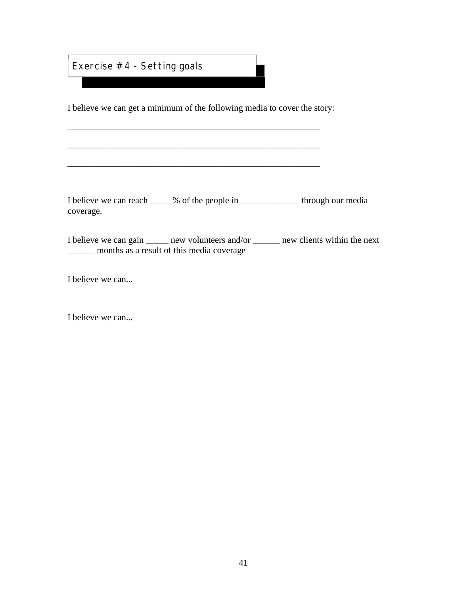Exercise #4 - Setting goals

I believe we can get a minimum of the following media to cover the story:

\_\_\_\_\_\_\_\_\_\_\_\_\_\_\_\_\_\_\_\_\_\_\_\_\_\_\_\_\_\_\_\_\_\_\_\_\_\_\_\_\_\_\_\_\_\_\_\_\_\_\_\_\_\_\_\_

\_\_\_\_\_\_\_\_\_\_\_\_\_\_\_\_\_\_\_\_\_\_\_\_\_\_\_\_\_\_\_\_\_\_\_\_\_\_\_\_\_\_\_\_\_\_\_\_\_\_\_\_\_\_\_\_

I believe we can reach \_\_\_\_\_% of the people in \_\_\_\_\_\_\_\_\_\_\_\_\_ through our media coverage.

 $\mathcal{L}_\text{max} = \mathcal{L}_\text{max} = \mathcal{L}_\text{max} = \mathcal{L}_\text{max} = \mathcal{L}_\text{max} = \mathcal{L}_\text{max} = \mathcal{L}_\text{max}$ 

I believe we can gain \_\_\_\_\_ new volunteers and/or \_\_\_\_\_\_ new clients within the next \_\_\_\_\_\_ months as a result of this media coverage

I believe we can...

I believe we can...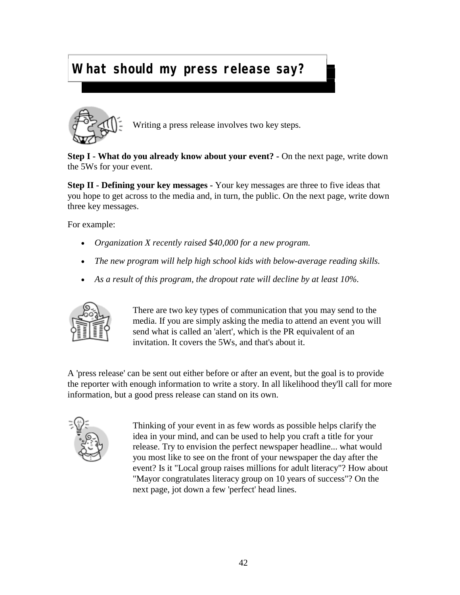# **What should my press release say?**



Writing a press release involves two key steps.

**Step I - What do you already know about your event?** - On the next page, write down the 5Ws for your event.

 $\overline{\phantom{a}}$ 

**Step II - Defining your key messages -** Your key messages are three to five ideas that you hope to get across to the media and, in turn, the public. On the next page, write down three key messages.

For example:

- *Organization X recently raised \$40,000 for a new program.*
- *The new program will help high school kids with below-average reading skills.*
- *As a result of this program, the dropout rate will decline by at least 10%.*



There are two key types of communication that you may send to the media. If you are simply asking the media to attend an event you will send what is called an 'alert', which is the PR equivalent of an invitation. It covers the 5Ws, and that's about it.

A 'press release' can be sent out either before or after an event, but the goal is to provide the reporter with enough information to write a story. In all likelihood they'll call for more information, but a good press release can stand on its own.



Thinking of your event in as few words as possible helps clarify the idea in your mind, and can be used to help you craft a title for your release. Try to envision the perfect newspaper headline... what would you most like to see on the front of your newspaper the day after the event? Is it "Local group raises millions for adult literacy"? How about "Mayor congratulates literacy group on 10 years of success"? On the next page, jot down a few 'perfect' head lines.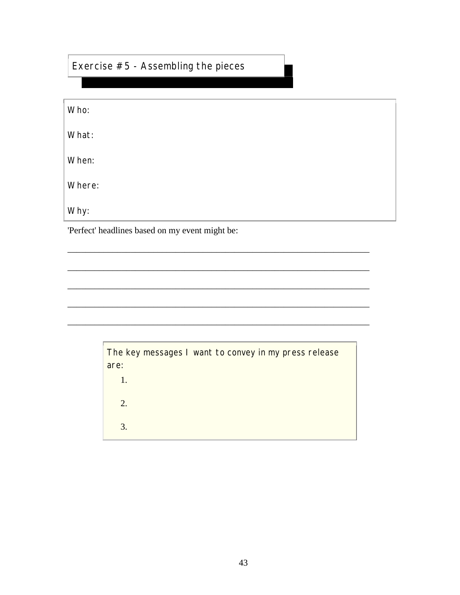#### Exercise  $#5$  - Assembling the pieces

| Who:                                                                                                                                                                                                                                                                                                                                                   |
|--------------------------------------------------------------------------------------------------------------------------------------------------------------------------------------------------------------------------------------------------------------------------------------------------------------------------------------------------------|
| What:                                                                                                                                                                                                                                                                                                                                                  |
| When:                                                                                                                                                                                                                                                                                                                                                  |
| Where:                                                                                                                                                                                                                                                                                                                                                 |
| Why:                                                                                                                                                                                                                                                                                                                                                   |
| $\mathbf{D} \in \mathbb{C}$ and $\mathbf{D} \in \mathbb{C}$ and $\mathbf{D} \in \mathbb{C}$ and $\mathbf{D} \in \mathbb{C}$ and $\mathbf{D} \in \mathbb{C}$ and $\mathbf{D} \in \mathbb{C}$ and $\mathbf{D} \in \mathbb{C}$ and $\mathbf{D} \in \mathbb{C}$ and $\mathbf{D} \in \mathbb{C}$ and $\mathbf{D} \in \mathbb{C}$ and $\mathbf{D} \in \math$ |

'Perfect' headlines based on my event might be:

| The key messages I want to convey in my press release<br>are: |  |  |  |  |
|---------------------------------------------------------------|--|--|--|--|
| 1.                                                            |  |  |  |  |
| 2.                                                            |  |  |  |  |
| 3.                                                            |  |  |  |  |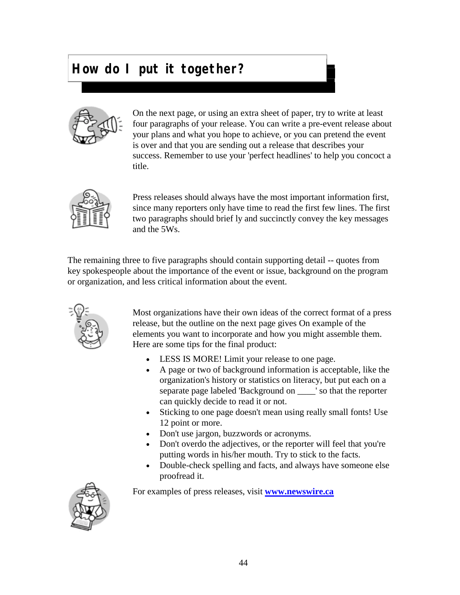#### **How do I put it together?**



On the next page, or using an extra sheet of paper, try to write at least four paragraphs of your release. You can write a pre-event release about your plans and what you hope to achieve, or you can pretend the event is over and that you are sending out a release that describes your success. Remember to use your 'perfect headlines' to help you concoct a title.

 $\overline{\phantom{a}}$ 



Press releases should always have the most important information first, since many reporters only have time to read the first few lines. The first two paragraphs should brief ly and succinctly convey the key messages and the 5Ws.

The remaining three to five paragraphs should contain supporting detail -- quotes from key spokespeople about the importance of the event or issue, background on the program or organization, and less critical information about the event.



Most organizations have their own ideas of the correct format of a press release, but the outline on the next page gives On example of the elements you want to incorporate and how you might assemble them. Here are some tips for the final product:

- LESS IS MORE! Limit your release to one page.
- A page or two of background information is acceptable, like the organization's history or statistics on literacy, but put each on a separate page labeled 'Background on \_\_\_\_' so that the reporter can quickly decide to read it or not.
- Sticking to one page doesn't mean using really small fonts! Use 12 point or more.
- Don't use jargon, buzzwords or acronyms.
- Don't overdo the adjectives, or the reporter will feel that you're putting words in his/her mouth. Try to stick to the facts.
- Double-check spelling and facts, and always have someone else proofread it.

For examples of press releases, visit **[www.newswire.ca](http://www.newswire.ca)**

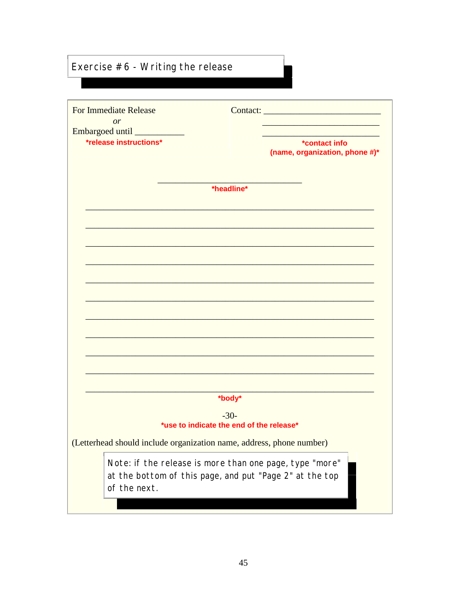#### Exercise  $#6$  - Writing the release

| <b>For Immediate Release</b><br>or                                   | Contact: and the contact of the contact of the contact of the contact of the contact of the contact of the contact of the contact of the contact of the contact of the contact of the contact of the contact of the contact of |  |
|----------------------------------------------------------------------|--------------------------------------------------------------------------------------------------------------------------------------------------------------------------------------------------------------------------------|--|
| Embargoed until _______<br><i>*release instructions*</i>             | *contact info<br>(name, organization, phone #)*                                                                                                                                                                                |  |
|                                                                      | *headline*                                                                                                                                                                                                                     |  |
|                                                                      |                                                                                                                                                                                                                                |  |
|                                                                      |                                                                                                                                                                                                                                |  |
|                                                                      |                                                                                                                                                                                                                                |  |
|                                                                      |                                                                                                                                                                                                                                |  |
|                                                                      |                                                                                                                                                                                                                                |  |
|                                                                      | *body*                                                                                                                                                                                                                         |  |
|                                                                      | $-30-$<br>*use to indicate the end of the release*                                                                                                                                                                             |  |
| (Letterhead should include organization name, address, phone number) |                                                                                                                                                                                                                                |  |
| of the next.                                                         | Note: if the release is more than one page, type "more"<br>at the bottom of this page, and put "Page 2" at the top                                                                                                             |  |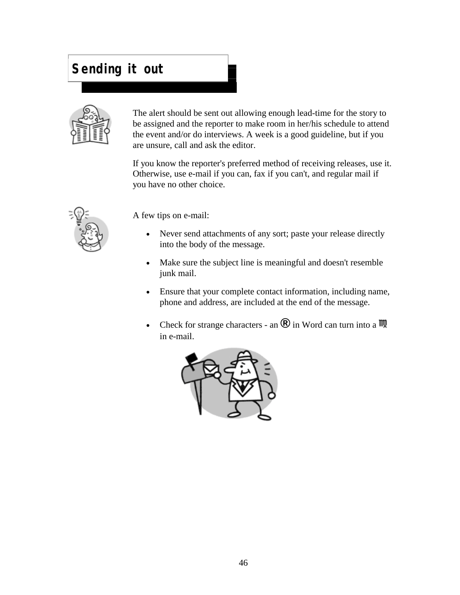#### **Sending it out**



The alert should be sent out allowing enough lead-time for the story to be assigned and the reporter to make room in her/his schedule to attend the event and/or do interviews. A week is a good guideline, but if you are unsure, call and ask the editor.

If you know the reporter's preferred method of receiving releases, use it. Otherwise, use e-mail if you can, fax if you can't, and regular mail if you have no other choice.



A few tips on e-mail:

- Never send attachments of any sort; paste your release directly into the body of the message.
- Make sure the subject line is meaningful and doesn't resemble junk mail.
- Ensure that your complete contact information, including name, phone and address, are included at the end of the message.
- Check for strange characters an  $\mathbb{R}$  in Word can turn into a  $\mathbb{N}$ in e-mail.

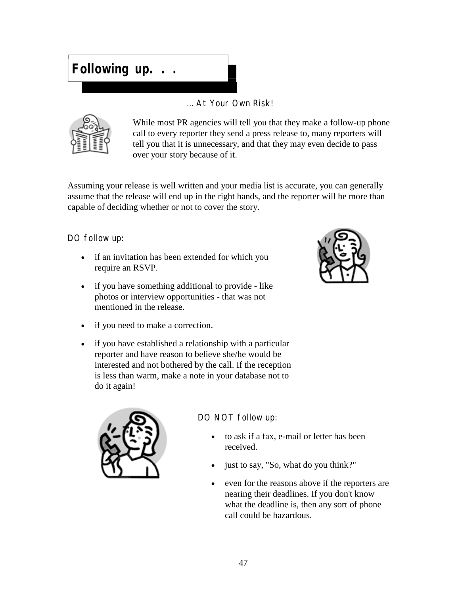### **Following up. . .**

... At Your Own Risk!



While most PR agencies will tell you that they make a follow-up phone call to every reporter they send a press release to, many reporters will tell you that it is unnecessary, and that they may even decide to pass over your story because of it.

Assuming your release is well written and your media list is accurate, you can generally assume that the release will end up in the right hands, and the reporter will be more than capable of deciding whether or not to cover the story.

DO follow up:

- if an invitation has been extended for which you require an RSVP.
- if you have something additional to provide like photos or interview opportunities - that was not mentioned in the release.



 if you have established a relationship with a particular reporter and have reason to believe she/he would be interested and not bothered by the call. If the reception is less than warm, make a note in your database not to do it again!





#### DO NOT follow up:

- to ask if a fax, e-mail or letter has been received.
- just to say, "So, what do you think?"
- even for the reasons above if the reporters are nearing their deadlines. If you don't know what the deadline is, then any sort of phone call could be hazardous.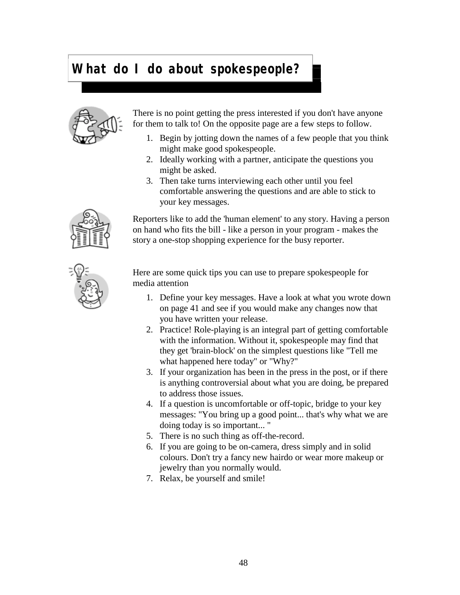#### **What do I do about spokespeople?**



There is no point getting the press interested if you don't have anyone for them to talk to! On the opposite page are a few steps to follow.

- 1. Begin by jotting down the names of a few people that you think might make good spokespeople.
- 2. Ideally working with a partner, anticipate the questions you might be asked.
- 3. Then take turns interviewing each other until you feel comfortable answering the questions and are able to stick to your key messages.

Reporters like to add the 'human element' to any story. Having a person on hand who fits the bill - like a person in your program - makes the story a one-stop shopping experience for the busy reporter.



Here are some quick tips you can use to prepare spokespeople for media attention

- 1. Define your key messages. Have a look at what you wrote down on page 41 and see if you would make any changes now that you have written your release.
- 2. Practice! Role-playing is an integral part of getting comfortable with the information. Without it, spokespeople may find that they get 'brain-block' on the simplest questions like "Tell me what happened here today" or "Why?"
- 3. If your organization has been in the press in the post, or if there is anything controversial about what you are doing, be prepared to address those issues.
- 4. If a question is uncomfortable or off-topic, bridge to your key messages: "You bring up a good point... that's why what we are doing today is so important... "
- 5. There is no such thing as off-the-record.
- 6. If you are going to be on-camera, dress simply and in solid colours. Don't try a fancy new hairdo or wear more makeup or jewelry than you normally would.
- 7. Relax, be yourself and smile!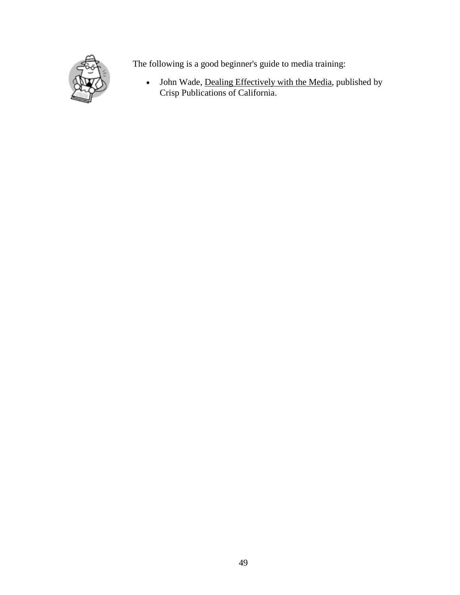

The following is a good beginner's guide to media training:

• John Wade, Dealing Effectively with the Media, published by Crisp Publications of California.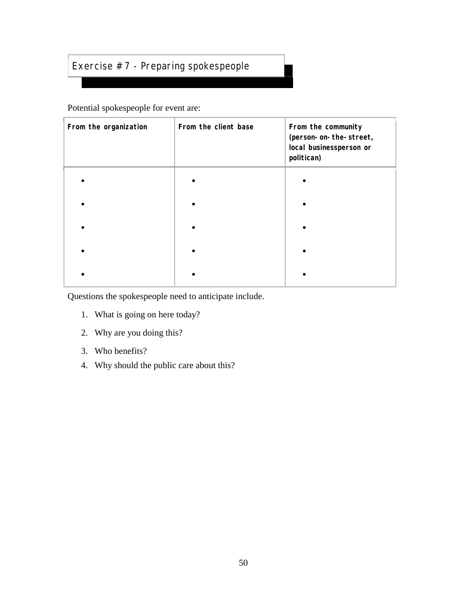#### Exercise #7 - Preparing spokespeople

Potential spokespeople for event are:

| From the organization | From the client base | From the community<br>(person-on-the-street,<br>local businessperson or<br>politican) |
|-----------------------|----------------------|---------------------------------------------------------------------------------------|
|                       |                      |                                                                                       |
|                       |                      |                                                                                       |
|                       |                      |                                                                                       |
|                       |                      |                                                                                       |
|                       |                      |                                                                                       |

Questions the spokespeople need to anticipate include.

- 1. What is going on here today?
- 2. Why are you doing this?
- 3. Who benefits?
- 4. Why should the public care about this?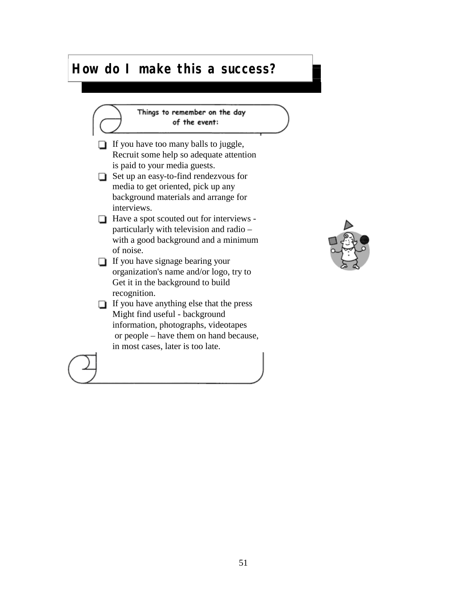#### **How do I make this a success?**

Things to remember on the day of the event:  $\Box$  If you have too many balls to juggle, Recruit some help so adequate attention is paid to your media guests. Set up an easy-to-find rendezvous for media to get oriented, pick up any background materials and arrange for interviews. **■** Have a spot scouted out for interviews particularly with television and radio – with a good background and a minimum of noise.  $\Box$  If you have signage bearing your organization's name and/or logo, try to Get it in the background to build recognition. If you have anything else that the press Might find useful - background information, photographs, videotapes or people – have them on hand because, in most cases, later is too late.

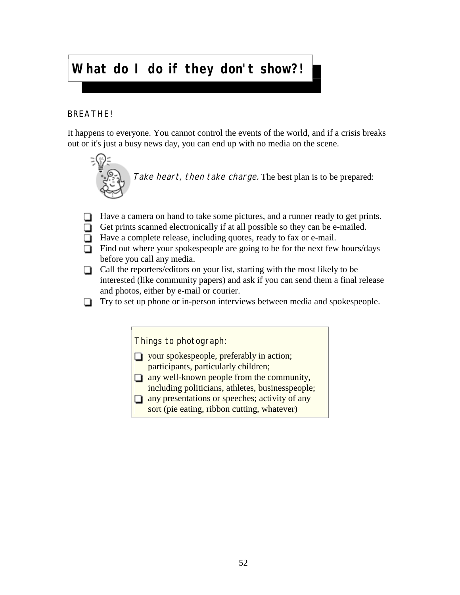### **What do I do if they don't show?!**

#### BREATHE!

It happens to everyone. You cannot control the events of the world, and if a crisis breaks out or it's just a busy news day, you can end up with no media on the scene.



Take heart, then take charge. The best plan is to be prepared:

- $\Box$  Have a camera on hand to take some pictures, and a runner ready to get prints.
- Get prints scanned electronically if at all possible so they can be e-mailed.
- □ Have a complete release, including quotes, ready to fax or e-mail.
- $\Box$  Find out where your spokespeople are going to be for the next few hours/days before you call any media.
- $\Box$  Call the reporters/editors on your list, starting with the most likely to be interested (like community papers) and ask if you can send them a final release and photos, either by e-mail or courier.
- □ Try to set up phone or in-person interviews between media and spokespeople.

Things to photograph:

- $\Box$  your spokespeople, preferably in action; participants, particularly children;
- $\Box$  any well-known people from the community, including politicians, athletes, businesspeople;
- $\Box$  any presentations or speeches; activity of any
	- sort (pie eating, ribbon cutting, whatever)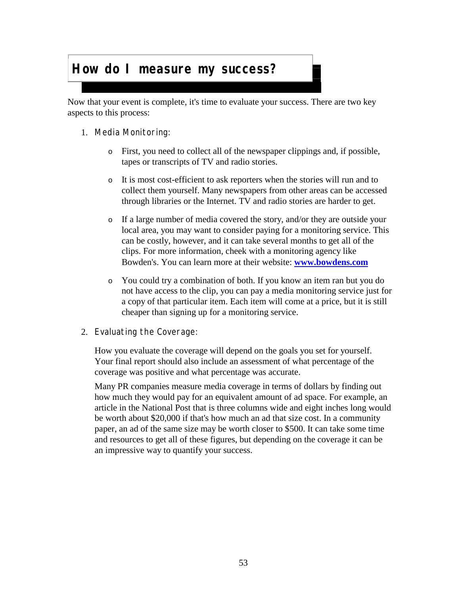#### **How do I measure my success?**

Now that your event is complete, it's time to evaluate your success. There are two key aspects to this process:

- 1. Media Monitoring:
	- o First, you need to collect all of the newspaper clippings and, if possible, tapes or transcripts of TV and radio stories.
	- o It is most cost-efficient to ask reporters when the stories will run and to collect them yourself. Many newspapers from other areas can be accessed through libraries or the Internet. TV and radio stories are harder to get.
	- o If a large number of media covered the story, and/or they are outside your local area, you may want to consider paying for a monitoring service. This can be costly, however, and it can take several months to get all of the clips. For more information, cheek with a monitoring agency like Bowden's. You can learn more at their website: **[www.bowdens.com](http://www.bowdens.com)**
	- o You could try a combination of both. If you know an item ran but you do not have access to the clip, you can pay a media monitoring service just for a copy of that particular item. Each item will come at a price, but it is still cheaper than signing up for a monitoring service.
- 2. Evaluating the Coverage:

How you evaluate the coverage will depend on the goals you set for yourself. Your final report should also include an assessment of what percentage of the coverage was positive and what percentage was accurate.

Many PR companies measure media coverage in terms of dollars by finding out how much they would pay for an equivalent amount of ad space. For example, an article in the National Post that is three columns wide and eight inches long would be worth about \$20,000 if that's how much an ad that size cost. In a community paper, an ad of the same size may be worth closer to \$500. It can take some time and resources to get all of these figures, but depending on the coverage it can be an impressive way to quantify your success.